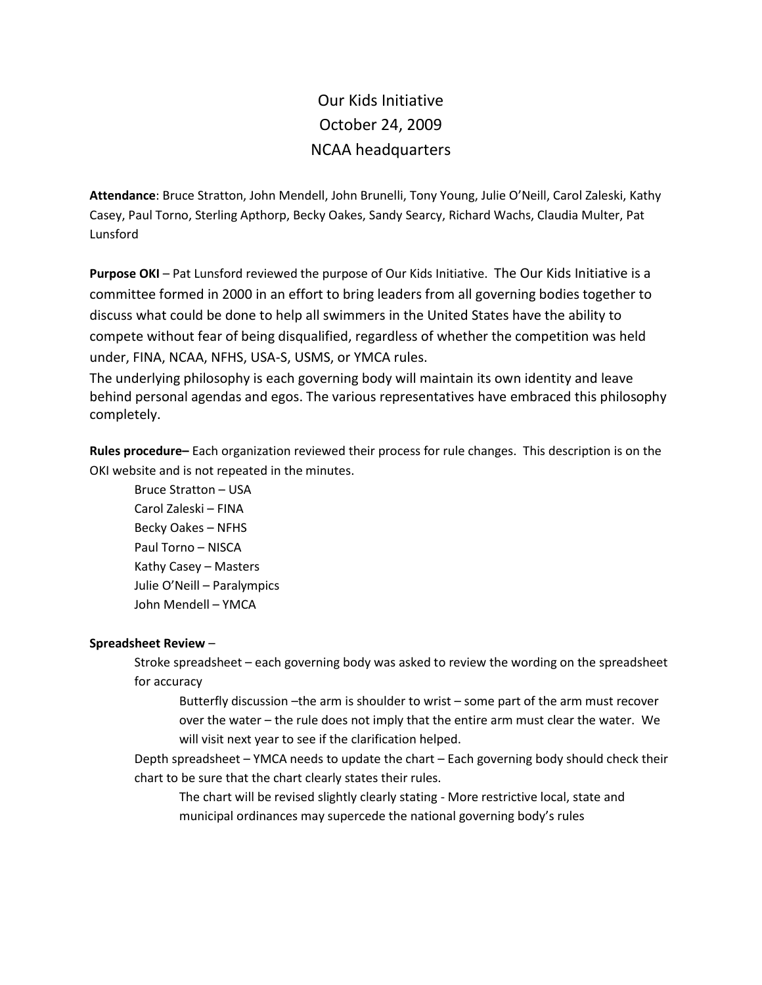## Our Kids Initiative October 24, 2009 NCAA headquarters

**Attendance**: Bruce Stratton, John Mendell, John Brunelli, Tony Young, Julie O'Neill, Carol Zaleski, Kathy Casey, Paul Torno, Sterling Apthorp, Becky Oakes, Sandy Searcy, Richard Wachs, Claudia Multer, Pat Lunsford

**Purpose OKI** – Pat Lunsford reviewed the purpose of Our Kids Initiative. The Our Kids Initiative is a committee formed in 2000 in an effort to bring leaders from all governing bodies together to discuss what could be done to help all swimmers in the United States have the ability to compete without fear of being disqualified, regardless of whether the competition was held under, FINA, NCAA, NFHS, USA-S, USMS, or YMCA rules.

The underlying philosophy is each governing body will maintain its own identity and leave behind personal agendas and egos. The various representatives have embraced this philosophy completely.

**Rules procedure–** Each organization reviewed their process for rule changes. This description is on the OKI website and is not repeated in the minutes.

Bruce Stratton – USA Carol Zaleski – FINA Becky Oakes – NFHS Paul Torno – NISCA Kathy Casey – Masters Julie O'Neill – Paralympics John Mendell – YMCA

## **Spreadsheet Review** –

Stroke spreadsheet – each governing body was asked to review the wording on the spreadsheet for accuracy

Butterfly discussion –the arm is shoulder to wrist – some part of the arm must recover over the water – the rule does not imply that the entire arm must clear the water. We will visit next year to see if the clarification helped.

Depth spreadsheet – YMCA needs to update the chart – Each governing body should check their chart to be sure that the chart clearly states their rules.

The chart will be revised slightly clearly stating - More restrictive local, state and municipal ordinances may supercede the national governing body's rules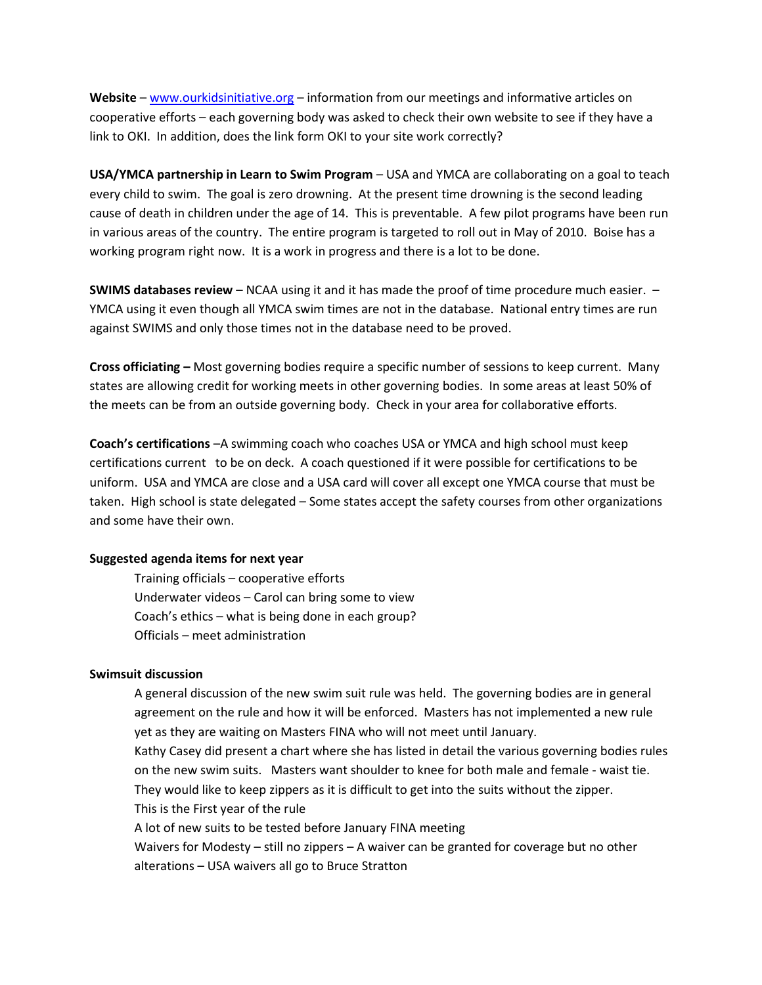**Website** – [www.ourkidsinitiative.org](http://www.ourkidsinitiative.org/) – information from our meetings and informative articles on cooperative efforts – each governing body was asked to check their own website to see if they have a link to OKI. In addition, does the link form OKI to your site work correctly?

**USA/YMCA partnership in Learn to Swim Program** – USA and YMCA are collaborating on a goal to teach every child to swim. The goal is zero drowning. At the present time drowning is the second leading cause of death in children under the age of 14. This is preventable. A few pilot programs have been run in various areas of the country. The entire program is targeted to roll out in May of 2010. Boise has a working program right now. It is a work in progress and there is a lot to be done.

**SWIMS databases review** – NCAA using it and it has made the proof of time procedure much easier. – YMCA using it even though all YMCA swim times are not in the database. National entry times are run against SWIMS and only those times not in the database need to be proved.

**Cross officiating –** Most governing bodies require a specific number of sessions to keep current. Many states are allowing credit for working meets in other governing bodies. In some areas at least 50% of the meets can be from an outside governing body. Check in your area for collaborative efforts.

**Coach's certifications** –A swimming coach who coaches USA or YMCA and high school must keep certifications current to be on deck. A coach questioned if it were possible for certifications to be uniform. USA and YMCA are close and a USA card will cover all except one YMCA course that must be taken. High school is state delegated – Some states accept the safety courses from other organizations and some have their own.

## **Suggested agenda items for next year**

Training officials – cooperative efforts Underwater videos – Carol can bring some to view Coach's ethics – what is being done in each group? Officials – meet administration

## **Swimsuit discussion**

A general discussion of the new swim suit rule was held. The governing bodies are in general agreement on the rule and how it will be enforced. Masters has not implemented a new rule yet as they are waiting on Masters FINA who will not meet until January. Kathy Casey did present a chart where she has listed in detail the various governing bodies rules on the new swim suits. Masters want shoulder to knee for both male and female - waist tie. They would like to keep zippers as it is difficult to get into the suits without the zipper. This is the First year of the rule A lot of new suits to be tested before January FINA meeting Waivers for Modesty – still no zippers – A waiver can be granted for coverage but no other alterations – USA waivers all go to Bruce Stratton